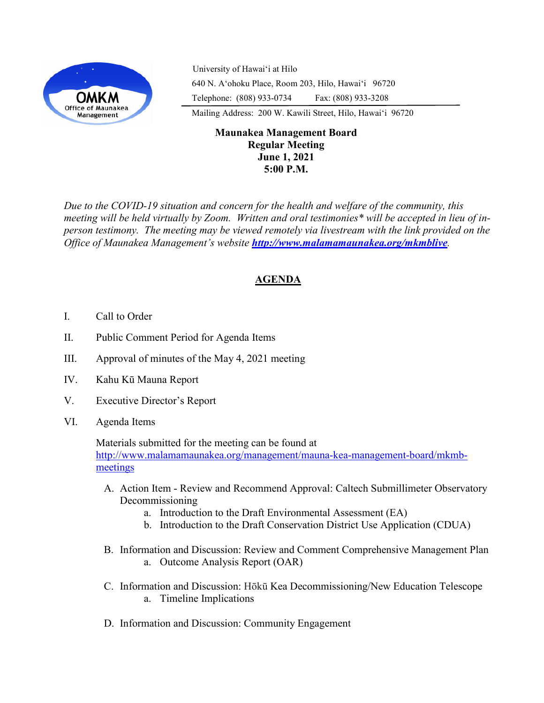

University of Hawaiʻi at Hilo 640 N. A'ohoku Place, Room 203, Hilo, Hawai'i 96720 Telephone: (808) 933-0734 Fax: (808) 933-3208

Mailing Address: 200 W. Kawili Street, Hilo, Hawai'i 96720

## **Maunakea Management Board Regular Meeting June 1, 2021 5:00 P.M.**

*Due to the COVID-19 situation and concern for the health and welfare of the community, this meeting will be held virtually by Zoom. Written and oral testimonies\* will be accepted in lieu of inperson testimony. The meeting may be viewed remotely via livestream with the link provided on the Office of Maunakea Management's website <http://www.malamamaunakea.org/mkmblive>.*

# **AGENDA**

- I. Call to Order
- II. Public Comment Period for Agenda Items
- III. Approval of minutes of the May 4, 2021 meeting
- IV. Kahu Kū Mauna Report
- V. Executive Director's Report
- VI. Agenda Items

Materials submitted for the meeting can be found at [http://www.malamamaunakea.org/management/mauna](http://www.malamamaunakea.org/management/mauna-kea-management-board/mkmb-meetings)-kea-management-board/mkmb[meetings](http://www.malamamaunakea.org/management/mauna-kea-management-board/mkmb-meetings)

- A. Action Item Review and Recommend Approval: Caltech Submillimeter Observatory Decommissioning
	- a. Introduction to the Draft Environmental Assessment (EA)
	- b. Introduction to the Draft Conservation District Use Application (CDUA)
- B. Information and Discussion: Review and Comment Comprehensive Management Plan a. Outcome Analysis Report (OAR)
- C. Information and Discussion: Hōkū Kea Decommissioning/New Education Telescope a. Timeline Implications
- D. Information and Discussion: Community Engagement